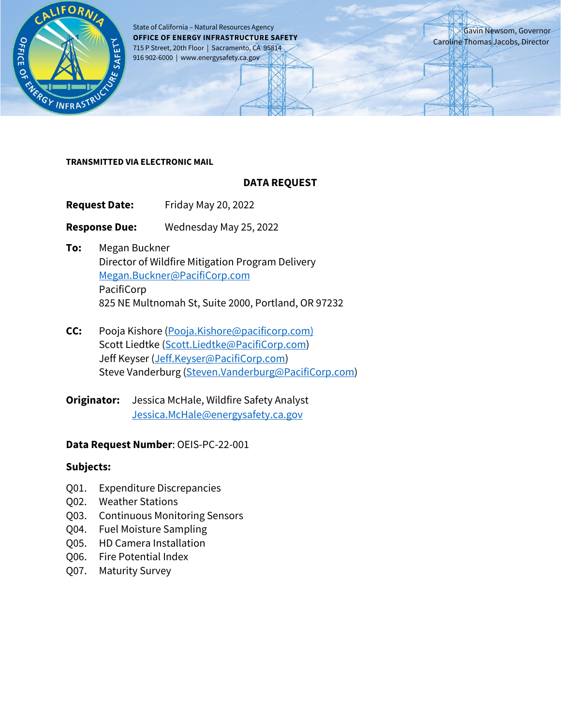

State of California – Natural Resources Agency **OFFICE OF ENERGY INFRASTRUCTURE SAFETY** 715 P Street, 20th Floor | Sacramento, CA 95814 916 902-6000 | www.energysafety.ca.gov

Gavin Newsom, Governor Caroline Thomas Jacobs, Director

#### **TRANSMITTED VIA ELECTRONIC MAIL**

#### **DATA REQUEST**

**Request Date:** Friday May 20, 2022

**Response Due:** Wednesday May 25, 2022

- **To:** Megan Buckner Director of Wildfire Mitigation Program Delivery [Megan.Buckner@PacifiCorp.com](mailto:Megan.Buckner@PacifiCorp.com) PacifiCorp 825 NE Multnomah St, Suite 2000, Portland, OR 97232
- **CC:** Pooja Kishore [\(Pooja.Kishore@pacificorp.com\)](mailto:Pooja.Kishore@pacificorp.com) Scott Liedtke [\(Scott.Liedtke@PacifiCorp.com\)](mailto:Scott.Liedtke@PacifiCorp.com) Jeff Keyser [\(Jeff.Keyser@PacifiCorp.com\)](mailto:Jeff.Keyser@PacifiCorp.com) Steve Vanderburg [\(Steven.Vanderburg@PacifiCorp.com\)](mailto:Steven.Vanderburg@PacifiCorp.com)

**Originator:** Jessica McHale, Wildfire Safety Analyst [Jessica.McHale@energysafety.ca.gov](mailto:Jessica.McHale@energysafety.ca.gov)

#### **Data Request Number**: OEIS-PC-22-001

#### **Subjects:**

- Q01. Expenditure Discrepancies
- Q02. Weather Stations
- Q03. Continuous Monitoring Sensors
- Q04. Fuel Moisture Sampling
- Q05. HD Camera Installation
- Q06. Fire Potential Index
- Q07. Maturity Survey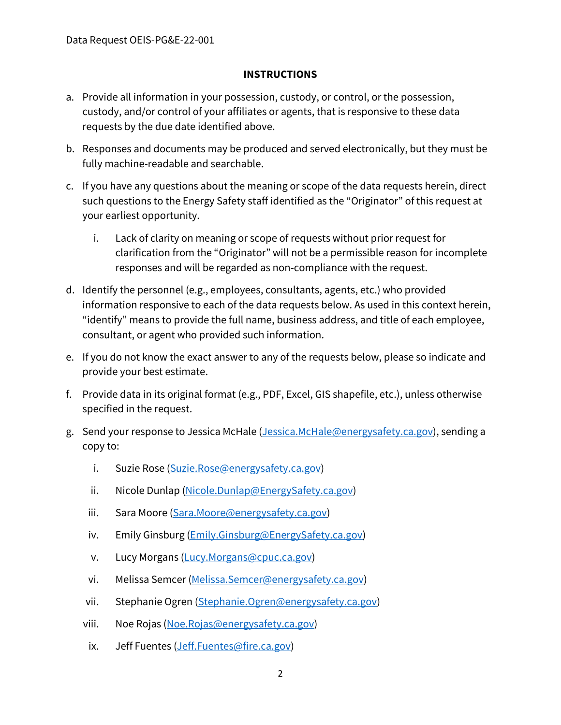### **INSTRUCTIONS**

- a. Provide all information in your possession, custody, or control, or the possession, custody, and/or control of your affiliates or agents, that is responsive to these data requests by the due date identified above.
- b. Responses and documents may be produced and served electronically, but they must be fully machine-readable and searchable.
- c. If you have any questions about the meaning or scope of the data requests herein, direct such questions to the Energy Safety staff identified as the "Originator" of this request at your earliest opportunity.
	- i. Lack of clarity on meaning or scope of requests without prior request for clarification from the "Originator" will not be a permissible reason for incomplete responses and will be regarded as non-compliance with the request.
- d. Identify the personnel (e.g., employees, consultants, agents, etc.) who provided information responsive to each of the data requests below. As used in this context herein, "identify" means to provide the full name, business address, and title of each employee, consultant, or agent who provided such information.
- e. If you do not know the exact answer to any of the requests below, please so indicate and provide your best estimate.
- f. Provide data in its original format (e.g., PDF, Excel, GIS shapefile, etc.), unless otherwise specified in the request.
- g. Send your response to Jessica McHale [\(Jessica.McHale@energysafety.ca.gov\)](mailto:Jessica.McHale@energysafety.ca.gov), sending a copy to:
	- i. Suzie Rose [\(Suzie.Rose@energysafety.ca.gov\)](mailto:Suzie.Rose@energysafety.ca.gov)
	- ii. Nicole Dunlap [\(Nicole.Dunlap@EnergySafety.ca.gov\)](mailto:Nicole.Dunlap@EnergySafety.ca.gov)
	- iii. Sara Moore [\(Sara.Moore@energysafety.ca.gov\)](mailto:Sara.Moore@energysafety.ca.gov)
	- iv. Emily Ginsburg [\(Emily.Ginsburg@EnergySafety.ca.gov\)](mailto:Emily.Ginsburg@EnergySafety.ca.gov)
	- v. Lucy Morgans [\(Lucy.Morgans@cpuc.ca.gov\)](mailto:Lucy.Morgans@cpuc.ca.gov)
	- vi. Melissa Semcer [\(Melissa.Semcer@energysafety.ca.gov\)](mailto:Melissa.Semcer@energysafety.ca.gov)
	- vii. Stephanie Ogren [\(Stephanie.Ogren@energysafety.ca.gov\)](mailto:Stephanie.Ogren@energysafety.ca.gov)
	- viii. Noe Rojas [\(Noe.Rojas@energysafety.ca.gov\)](mailto:Noe.Rojas@energysafety.ca.gov)
	- ix. Jeff Fuentes [\(Jeff.Fuentes@fire.ca.gov\)](mailto:Jeff.Fuentes@fire.ca.gov)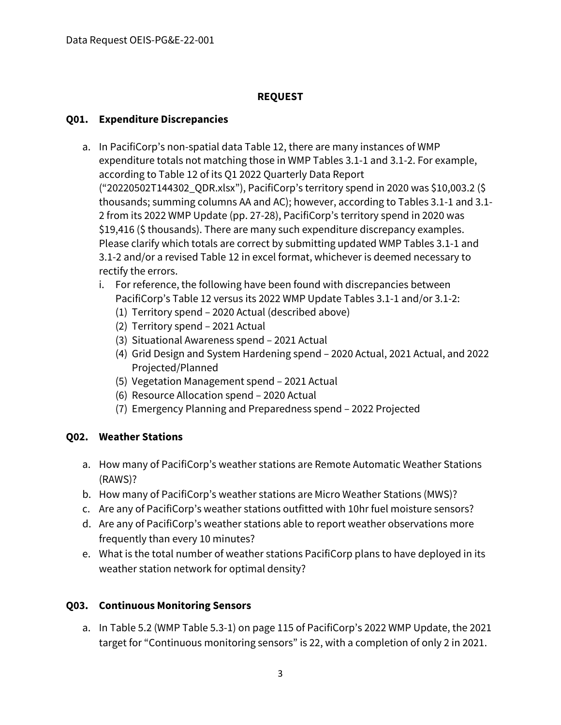## **REQUEST**

## **Q01. Expenditure Discrepancies**

- a. In PacifiCorp's non-spatial data Table 12, there are many instances of WMP expenditure totals not matching those in WMP Tables 3.1-1 and 3.1-2. For example, according to Table 12 of its Q1 2022 Quarterly Data Report ("20220502T144302\_QDR.xlsx"), PacifiCorp's territory spend in 2020 was \$10,003.2 (\$ thousands; summing columns AA and AC); however, according to Tables 3.1-1 and 3.1- 2 from its 2022 WMP Update (pp. 27-28), PacifiCorp's territory spend in 2020 was \$19,416 (\$ thousands). There are many such expenditure discrepancy examples. Please clarify which totals are correct by submitting updated WMP Tables 3.1-1 and 3.1-2 and/or a revised Table 12 in excel format, whichever is deemed necessary to rectify the errors.
	- i. For reference, the following have been found with discrepancies between PacifiCorp's Table 12 versus its 2022 WMP Update Tables 3.1-1 and/or 3.1-2:
		- (1) Territory spend 2020 Actual (described above)
		- (2) Territory spend 2021 Actual
		- (3) Situational Awareness spend 2021 Actual
		- (4) Grid Design and System Hardening spend 2020 Actual, 2021 Actual, and 2022 Projected/Planned
		- (5) Vegetation Management spend 2021 Actual
		- (6) Resource Allocation spend 2020 Actual
		- (7) Emergency Planning and Preparedness spend 2022 Projected

## **Q02. Weather Stations**

- a. How many of PacifiCorp's weather stations are Remote Automatic Weather Stations (RAWS)?
- b. How many of PacifiCorp's weather stations are Micro Weather Stations (MWS)?
- c. Are any of PacifiCorp's weather stations outfitted with 10hr fuel moisture sensors?
- d. Are any of PacifiCorp's weather stations able to report weather observations more frequently than every 10 minutes?
- e. What is the total number of weather stations PacifiCorp plans to have deployed in its weather station network for optimal density?

# **Q03. Continuous Monitoring Sensors**

a. In Table 5.2 (WMP Table 5.3-1) on page 115 of PacifiCorp's 2022 WMP Update, the 2021 target for "Continuous monitoring sensors" is 22, with a completion of only 2 in 2021.